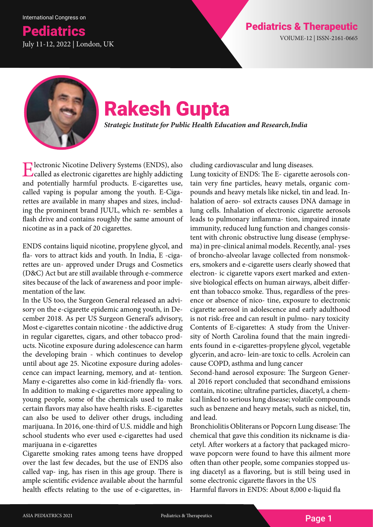## **Pediatrics Pediatrics American Control Control Control Pediatrics & Therapeutic Pediatrics American Control Control Control Pediatrics American Control Control Control Control Pediatrics American Control Control Control C** July 11-12, 2022 | London, UK



# Rakesh Gupta

*Strategic Institute for Public Health Education and Research, India*

Electronic Nicotine Delivery Systems (ENDS), also called as electronic cigarettes are highly addicting and potentially harmful products. E-cigarettes use, called vaping is popular among the youth. E-Cigarettes are available in many shapes and sizes, including the prominent brand JUUL, which re- sembles a flash drive and contains roughly the same amount of nicotine as in a pack of 20 cigarettes.

ENDS contains liquid nicotine, propylene glycol, and fla- vors to attract kids and youth. In India, E -cigarettes are un- approved under Drugs and Cosmetics (D&C) Act but are still available through e-commerce sites because of the lack of awareness and poor implementation of the law.

In the US too, the Surgeon General released an advisory on the e-cigarette epidemic among youth, in December 2018. As per US Surgeon General's advisory, Most e-cigarettes contain nicotine - the addictive drug in regular cigarettes, cigars, and other tobacco products. Nicotine exposure during adolescence can harm the developing brain - which continues to develop until about age 25. Nicotine exposure during adolescence can impact learning, memory, and at- tention. Many e-cigarettes also come in kid-friendly fla- vors. In addition to making e-cigarettes more appealing to young people, some of the chemicals used to make certain flavors may also have health risks. E-cigarettes can also be used to deliver other drugs, including marijuana. In 2016, one-third of U.S. middle and high school students who ever used e-cigarettes had used marijuana in e-cigarettes

Cigarette smoking rates among teens have dropped over the last few decades, but the use of ENDS also called vap- ing, has risen in this age group. There is ample scientific evidence available about the harmful health effects relating to the use of e-cigarettes, including cardiovascular and lung diseases.

Lung toxicity of ENDS: The E- cigarette aerosols contain very fine particles, heavy metals, organic compounds and heavy metals like nickel, tin and lead. Inhalation of aero- sol extracts causes DNA damage in lung cells. Inhalation of electronic cigarette aerosols leads to pulmonary inflamma- tion, impaired innate immunity, reduced lung function and changes consistent with chronic obstructive lung disease (emphysema) in pre-clinical animal models. Recently, anal- yses of broncho-alveolar lavage collected from nonsmokers, smokers and e-cigarette users clearly showed that electron- ic cigarette vapors exert marked and extensive biological effects on human airways, albeit different than tobacco smoke. Thus, regardless of the presence or absence of nico- tine, exposure to electronic cigarette aerosol in adolescence and early adulthood is not risk-free and can result in pulmo- nary toxicity Contents of E-cigarettes: A study from the University of North Carolina found that the main ingredients found in e-cigarettes-propylene glycol, vegetable glycerin, and acro- lein-are toxic to cells. Acrolein can cause COPD, asthma and lung cancer

Second-hand aerosol exposure: The Surgeon General 2016 report concluded that secondhand emissions contain, nicotine; ultrafine particles, diacetyl, a chemical linked to serious lung disease; volatile compounds such as benzene and heavy metals, such as nickel, tin, and lead.

Bronchiolitis Obliterans or Popcorn Lung disease: The chemical that gave this condition its nickname is diacetyl. After workers at a factory that packaged microwave popcorn were found to have this ailment more often than other people, some companies stopped using diacetyl as a flavoring, but is still being used in some electronic cigarette flavors in the US

Harmful flavors in ENDS: About 8,000 e-liquid fla